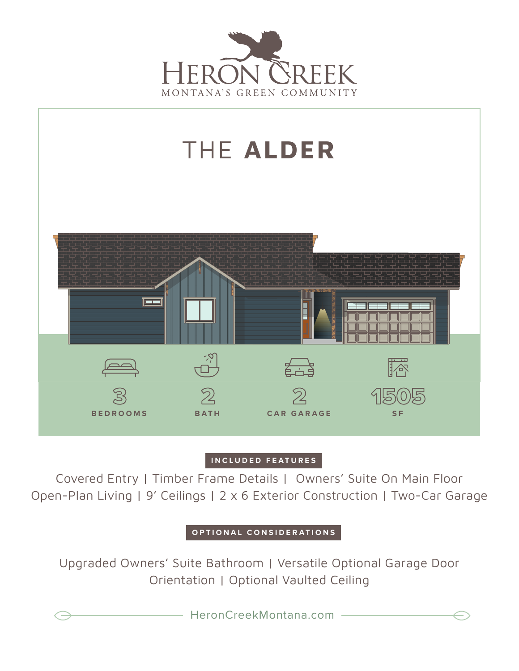



## **INCLUDED FEATURES**

Covered Entry | Timber Frame Details | Owners' Suite On Main Floor Open-Plan Living | 9' Ceilings | 2 x 6 Exterior Construction | Two-Car Garage

**OPTIONAL CONSIDERATIONS**

Upgraded Owners' Suite Bathroom | Versatile Optional Garage Door Orientation | Optional Vaulted Ceiling

HeronCreekMontana.com